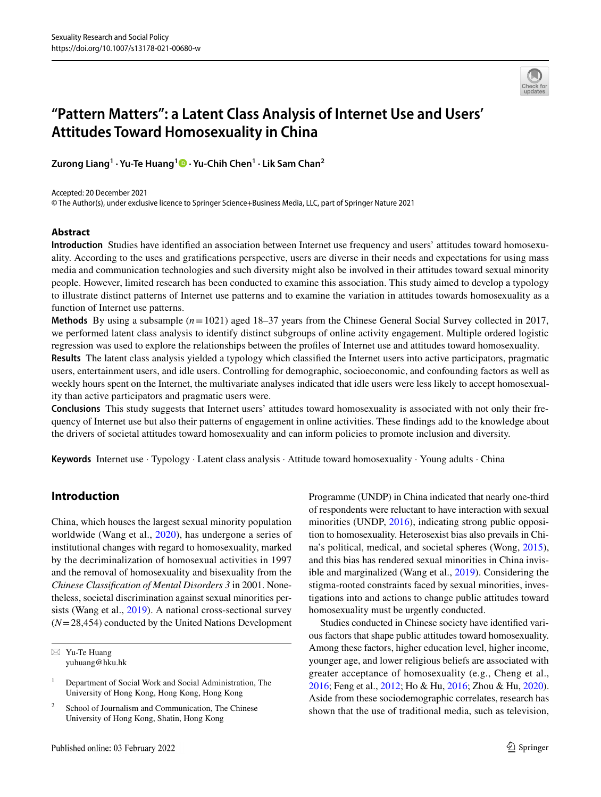

# **"Pattern Matters": a Latent Class Analysis of Internet Use and Users' Attitudes Toward Homosexuality in China**

**Zurong Liang1 · Yu‑Te Huang1 · Yu‑Chih Chen1 · Lik Sam Chan2**

Accepted: 20 December 2021

© The Author(s), under exclusive licence to Springer Science+Business Media, LLC, part of Springer Nature 2021

# **Abstract**

**Introduction** Studies have identifed an association between Internet use frequency and users' attitudes toward homosexuality. According to the uses and gratifcations perspective, users are diverse in their needs and expectations for using mass media and communication technologies and such diversity might also be involved in their attitudes toward sexual minority people. However, limited research has been conducted to examine this association. This study aimed to develop a typology to illustrate distinct patterns of Internet use patterns and to examine the variation in attitudes towards homosexuality as a function of Internet use patterns.

**Methods** By using a subsample (*n*=1021) aged 18–37 years from the Chinese General Social Survey collected in 2017, we performed latent class analysis to identify distinct subgroups of online activity engagement. Multiple ordered logistic regression was used to explore the relationships between the profles of Internet use and attitudes toward homosexuality.

**Results** The latent class analysis yielded a typology which classifed the Internet users into active participators, pragmatic users, entertainment users, and idle users. Controlling for demographic, socioeconomic, and confounding factors as well as weekly hours spent on the Internet, the multivariate analyses indicated that idle users were less likely to accept homosexuality than active participators and pragmatic users were.

**Conclusions** This study suggests that Internet users' attitudes toward homosexuality is associated with not only their frequency of Internet use but also their patterns of engagement in online activities. These fndings add to the knowledge about the drivers of societal attitudes toward homosexuality and can inform policies to promote inclusion and diversity.

**Keywords** Internet use · Typology · Latent class analysis · Attitude toward homosexuality · Young adults · China

# **Introduction**

China, which houses the largest sexual minority population worldwide (Wang et al., [2020](#page-13-0)), has undergone a series of institutional changes with regard to homosexuality, marked by the decriminalization of homosexual activities in 1997 and the removal of homosexuality and bisexuality from the *Chinese Classifcation of Mental Disorders 3* in 2001. Nonetheless, societal discrimination against sexual minorities persists (Wang et al., [2019\)](#page-13-1). A national cross-sectional survey (*N*=28,454) conducted by the United Nations Development

 $\boxtimes$  Yu-Te Huang yuhuang@hku.hk Programme (UNDP) in China indicated that nearly one-third of respondents were reluctant to have interaction with sexual minorities (UNDP, [2016\)](#page-13-2), indicating strong public opposition to homosexuality. Heterosexist bias also prevails in China's political, medical, and societal spheres (Wong, [2015](#page-13-3)), and this bias has rendered sexual minorities in China invisible and marginalized (Wang et al., [2019](#page-13-1)). Considering the stigma-rooted constraints faced by sexual minorities, investigations into and actions to change public attitudes toward homosexuality must be urgently conducted.

Studies conducted in Chinese society have identifed various factors that shape public attitudes toward homosexuality. Among these factors, higher education level, higher income, younger age, and lower religious beliefs are associated with greater acceptance of homosexuality (e.g., Cheng et al., [2016](#page-11-0); Feng et al., [2012;](#page-12-0) Ho & Hu, [2016](#page-12-1); Zhou & Hu, [2020](#page-13-4)). Aside from these sociodemographic correlates, research has shown that the use of traditional media, such as television,

<sup>&</sup>lt;sup>1</sup> Department of Social Work and Social Administration, The University of Hong Kong, Hong Kong, Hong Kong

<sup>&</sup>lt;sup>2</sup> School of Journalism and Communication, The Chinese University of Hong Kong, Shatin, Hong Kong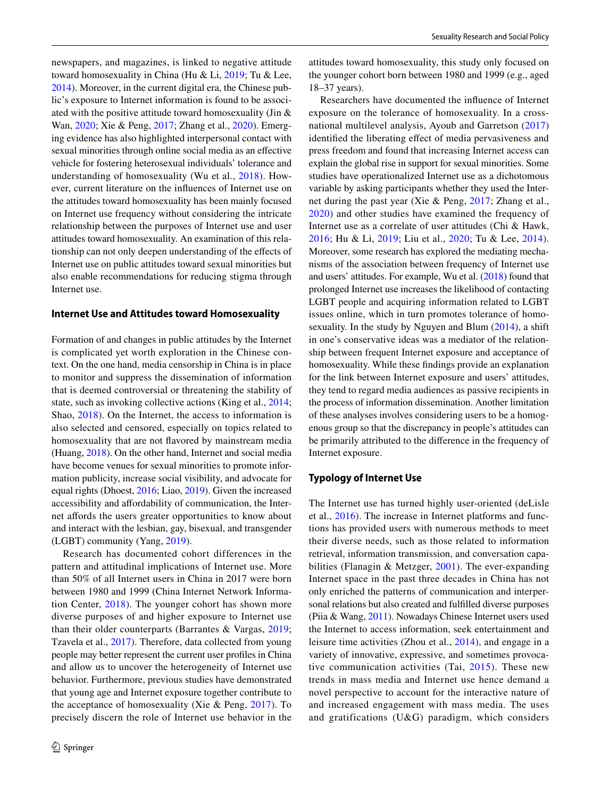newspapers, and magazines, is linked to negative attitude toward homosexuality in China (Hu & Li, [2019;](#page-12-2) Tu & Lee, [2014\)](#page-12-3). Moreover, in the current digital era, the Chinese public's exposure to Internet information is found to be associated with the positive attitude toward homosexuality (Jin & Wan, [2020;](#page-12-4) Xie & Peng, [2017](#page-13-5); Zhang et al., [2020\)](#page-13-6). Emerging evidence has also highlighted interpersonal contact with sexual minorities through online social media as an efective vehicle for fostering heterosexual individuals' tolerance and understanding of homosexuality (Wu et al., [2018](#page-13-7)). However, current literature on the infuences of Internet use on the attitudes toward homosexuality has been mainly focused on Internet use frequency without considering the intricate relationship between the purposes of Internet use and user attitudes toward homosexuality. An examination of this relationship can not only deepen understanding of the efects of Internet use on public attitudes toward sexual minorities but also enable recommendations for reducing stigma through Internet use.

#### **Internet Use and Attitudes toward Homosexuality**

Formation of and changes in public attitudes by the Internet is complicated yet worth exploration in the Chinese context. On the one hand, media censorship in China is in place to monitor and suppress the dissemination of information that is deemed controversial or threatening the stability of state, such as invoking collective actions (King et al., [2014](#page-12-5); Shao, [2018\)](#page-12-6). On the Internet, the access to information is also selected and censored, especially on topics related to homosexuality that are not favored by mainstream media (Huang, [2018\)](#page-12-7). On the other hand, Internet and social media have become venues for sexual minorities to promote information publicity, increase social visibility, and advocate for equal rights (Dhoest, [2016](#page-12-8); Liao, [2019\)](#page-12-9). Given the increased accessibility and afordability of communication, the Internet affords the users greater opportunities to know about and interact with the lesbian, gay, bisexual, and transgender (LGBT) community (Yang, [2019\)](#page-13-8).

Research has documented cohort differences in the pattern and attitudinal implications of Internet use. More than 50% of all Internet users in China in 2017 were born between 1980 and 1999 (China Internet Network Information Center, [2018\)](#page-11-1). The younger cohort has shown more diverse purposes of and higher exposure to Internet use than their older counterparts (Barrantes & Vargas, [2019](#page-11-2); Tzavela et al., [2017](#page-13-9)). Therefore, data collected from young people may better represent the current user profles in China and allow us to uncover the heterogeneity of Internet use behavior. Furthermore, previous studies have demonstrated that young age and Internet exposure together contribute to the acceptance of homosexuality (Xie & Peng,  $2017$ ). To precisely discern the role of Internet use behavior in the attitudes toward homosexuality, this study only focused on the younger cohort born between 1980 and 1999 (e.g., aged 18–37 years).

Researchers have documented the infuence of Internet exposure on the tolerance of homosexuality. In a crossnational multilevel analysis, Ayoub and Garretson [\(2017](#page-11-3)) identifed the liberating efect of media pervasiveness and press freedom and found that increasing Internet access can explain the global rise in support for sexual minorities. Some studies have operationalized Internet use as a dichotomous variable by asking participants whether they used the Internet during the past year (Xie & Peng, [2017](#page-13-5); Zhang et al., [2020\)](#page-13-6) and other studies have examined the frequency of Internet use as a correlate of user attitudes (Chi & Hawk, [2016;](#page-11-4) Hu & Li, [2019;](#page-12-2) Liu et al., [2020](#page-12-10); Tu & Lee, [2014](#page-12-3)). Moreover, some research has explored the mediating mechanisms of the association between frequency of Internet use and users' attitudes. For example, Wu et al. [\(2018](#page-13-7)) found that prolonged Internet use increases the likelihood of contacting LGBT people and acquiring information related to LGBT issues online, which in turn promotes tolerance of homosexuality. In the study by Nguyen and Blum [\(2014](#page-12-11)), a shift in one's conservative ideas was a mediator of the relationship between frequent Internet exposure and acceptance of homosexuality. While these fndings provide an explanation for the link between Internet exposure and users' attitudes, they tend to regard media audiences as passive recipients in the process of information dissemination. Another limitation of these analyses involves considering users to be a homogenous group so that the discrepancy in people's attitudes can be primarily attributed to the diference in the frequency of Internet exposure.

#### **Typology of Internet Use**

The Internet use has turned highly user-oriented (deLisle et al., [2016](#page-12-12)). The increase in Internet platforms and functions has provided users with numerous methods to meet their diverse needs, such as those related to information retrieval, information transmission, and conversation capabilities (Flanagin & Metzger, [2001](#page-12-13)). The ever-expanding Internet space in the past three decades in China has not only enriched the patterns of communication and interpersonal relations but also created and fulflled diverse purposes (Piia & Wang, [2011\)](#page-12-14). Nowadays Chinese Internet users used the Internet to access information, seek entertainment and leisure time activities (Zhou et al., [2014](#page-13-10)), and engage in a variety of innovative, expressive, and sometimes provocative communication activities (Tai, [2015\)](#page-12-15). These new trends in mass media and Internet use hence demand a novel perspective to account for the interactive nature of and increased engagement with mass media. The uses and gratifications (U&G) paradigm, which considers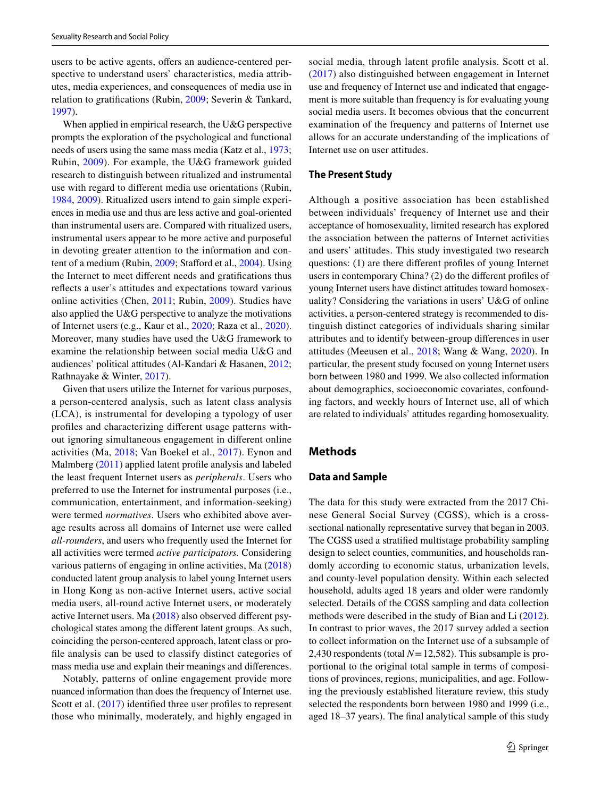users to be active agents, offers an audience-centered perspective to understand users' characteristics, media attributes, media experiences, and consequences of media use in relation to gratifcations (Rubin, [2009](#page-12-16); Severin & Tankard, [1997](#page-12-17)).

When applied in empirical research, the U&G perspective prompts the exploration of the psychological and functional needs of users using the same mass media (Katz et al., [1973](#page-12-18); Rubin, [2009\)](#page-12-16). For example, the U&G framework guided research to distinguish between ritualized and instrumental use with regard to diferent media use orientations (Rubin, [1984](#page-12-19), [2009\)](#page-12-16). Ritualized users intend to gain simple experiences in media use and thus are less active and goal-oriented than instrumental users are. Compared with ritualized users, instrumental users appear to be more active and purposeful in devoting greater attention to the information and content of a medium (Rubin, [2009](#page-12-16); Staford et al., [2004](#page-12-20)). Using the Internet to meet diferent needs and gratifcations thus refects a user's attitudes and expectations toward various online activities (Chen, [2011](#page-11-5); Rubin, [2009](#page-12-16)). Studies have also applied the U&G perspective to analyze the motivations of Internet users (e.g., Kaur et al., [2020](#page-12-21); Raza et al., [2020](#page-12-22)). Moreover, many studies have used the U&G framework to examine the relationship between social media U&G and audiences' political attitudes (Al-Kandari & Hasanen, [2012](#page-11-6); Rathnayake & Winter, [2017\)](#page-12-23).

Given that users utilize the Internet for various purposes, a person-centered analysis, such as latent class analysis (LCA), is instrumental for developing a typology of user profles and characterizing diferent usage patterns without ignoring simultaneous engagement in diferent online activities (Ma, [2018;](#page-12-24) Van Boekel et al., [2017](#page-13-11)). Eynon and Malmberg [\(2011](#page-12-25)) applied latent profle analysis and labeled the least frequent Internet users as *peripherals*. Users who preferred to use the Internet for instrumental purposes (i.e., communication, entertainment, and information-seeking) were termed *normatives*. Users who exhibited above average results across all domains of Internet use were called *all-rounders*, and users who frequently used the Internet for all activities were termed *active participators.* Considering various patterns of engaging in online activities, Ma ([2018\)](#page-12-24) conducted latent group analysis to label young Internet users in Hong Kong as non-active Internet users, active social media users, all-round active Internet users, or moderately active Internet users. Ma [\(2018](#page-12-24)) also observed diferent psychological states among the diferent latent groups. As such, coinciding the person-centered approach, latent class or profle analysis can be used to classify distinct categories of mass media use and explain their meanings and diferences.

Notably, patterns of online engagement provide more nuanced information than does the frequency of Internet use. Scott et al. ([2017](#page-12-26)) identified three user profiles to represent those who minimally, moderately, and highly engaged in social media, through latent profle analysis. Scott et al. ([2017\)](#page-12-26) also distinguished between engagement in Internet use and frequency of Internet use and indicated that engagement is more suitable than frequency is for evaluating young social media users. It becomes obvious that the concurrent examination of the frequency and patterns of Internet use allows for an accurate understanding of the implications of Internet use on user attitudes.

#### **The Present Study**

Although a positive association has been established between individuals' frequency of Internet use and their acceptance of homosexuality, limited research has explored the association between the patterns of Internet activities and users' attitudes. This study investigated two research questions: (1) are there diferent profles of young Internet users in contemporary China? (2) do the diferent profles of young Internet users have distinct attitudes toward homosexuality? Considering the variations in users' U&G of online activities, a person-centered strategy is recommended to distinguish distinct categories of individuals sharing similar attributes and to identify between-group diferences in user attitudes (Meeusen et al., [2018;](#page-12-27) Wang & Wang, [2020\)](#page-13-12). In particular, the present study focused on young Internet users born between 1980 and 1999. We also collected information about demographics, socioeconomic covariates, confounding factors, and weekly hours of Internet use, all of which are related to individuals' attitudes regarding homosexuality.

# **Methods**

#### **Data and Sample**

The data for this study were extracted from the 2017 Chinese General Social Survey (CGSS), which is a crosssectional nationally representative survey that began in 2003. The CGSS used a stratifed multistage probability sampling design to select counties, communities, and households randomly according to economic status, urbanization levels, and county-level population density. Within each selected household, adults aged 18 years and older were randomly selected. Details of the CGSS sampling and data collection methods were described in the study of Bian and Li [\(2012](#page-11-7)). In contrast to prior waves, the 2017 survey added a section to collect information on the Internet use of a subsample of 2,430 respondents (total *N*=12,582). This subsample is proportional to the original total sample in terms of compositions of provinces, regions, municipalities, and age. Following the previously established literature review, this study selected the respondents born between 1980 and 1999 (i.e., aged 18–37 years). The fnal analytical sample of this study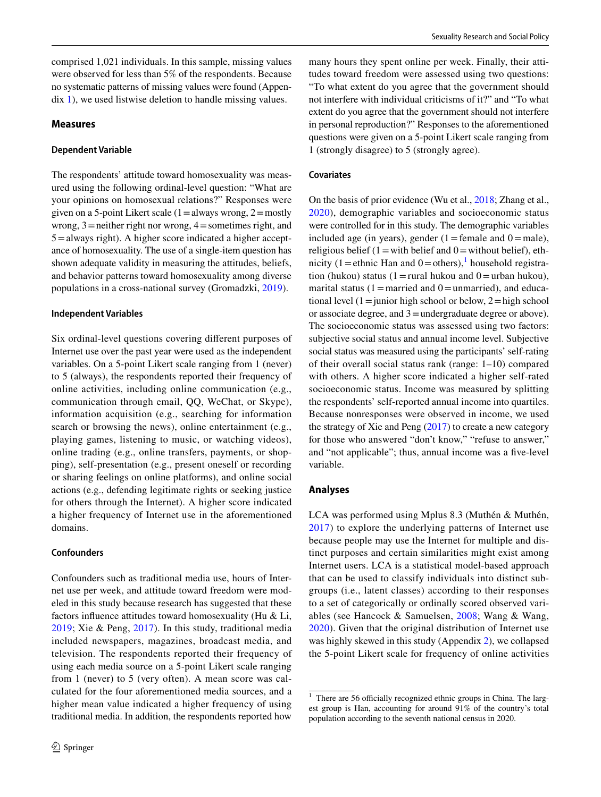comprised 1,021 individuals. In this sample, missing values were observed for less than 5% of the respondents. Because no systematic patterns of missing values were found (Appendix 1), we used listwise deletion to handle missing values.

#### **Measures**

#### **Dependent Variable**

The respondents' attitude toward homosexuality was measured using the following ordinal-level question: "What are your opinions on homosexual relations?" Responses were given on a 5-point Likert scale  $(1=$ always wrong,  $2=$ mostly wrong,  $3$  = neither right nor wrong,  $4$  = sometimes right, and 5=always right). A higher score indicated a higher acceptance of homosexuality. The use of a single-item question has shown adequate validity in measuring the attitudes, beliefs, and behavior patterns toward homosexuality among diverse populations in a cross-national survey (Gromadzki, [2019](#page-12-28)).

#### **Independent Variables**

Six ordinal-level questions covering diferent purposes of Internet use over the past year were used as the independent variables. On a 5-point Likert scale ranging from 1 (never) to 5 (always), the respondents reported their frequency of online activities, including online communication (e.g., communication through email, QQ, WeChat, or Skype), information acquisition (e.g., searching for information search or browsing the news), online entertainment (e.g., playing games, listening to music, or watching videos), online trading (e.g., online transfers, payments, or shopping), self-presentation (e.g., present oneself or recording or sharing feelings on online platforms), and online social actions (e.g., defending legitimate rights or seeking justice for others through the Internet). A higher score indicated a higher frequency of Internet use in the aforementioned domains.

#### **Confounders**

Confounders such as traditional media use, hours of Internet use per week, and attitude toward freedom were modeled in this study because research has suggested that these factors infuence attitudes toward homosexuality (Hu & Li, [2019;](#page-12-2) Xie & Peng, [2017\)](#page-13-5). In this study, traditional media included newspapers, magazines, broadcast media, and television. The respondents reported their frequency of using each media source on a 5-point Likert scale ranging from 1 (never) to 5 (very often). A mean score was calculated for the four aforementioned media sources, and a higher mean value indicated a higher frequency of using traditional media. In addition, the respondents reported how

many hours they spent online per week. Finally, their attitudes toward freedom were assessed using two questions: "To what extent do you agree that the government should not interfere with individual criticisms of it?" and "To what extent do you agree that the government should not interfere in personal reproduction?" Responses to the aforementioned questions were given on a 5-point Likert scale ranging from 1 (strongly disagree) to 5 (strongly agree).

#### **Covariates**

On the basis of prior evidence (Wu et al., [2018](#page-13-7); Zhang et al., [2020\)](#page-13-6), demographic variables and socioeconomic status were controlled for in this study. The demographic variables included age (in years), gender (1=female and  $0=$ male), religious belief (1 = with belief and  $0 =$  without belief), eth-nicity ([1](#page-3-0) = ethnic Han and  $0 =$  others),<sup>1</sup> household registration (hukou) status (1=rural hukou and 0=urban hukou), marital status (1 = married and 0 = unmarried), and educational level  $(1=$ junior high school or below,  $2=$ high school or associate degree, and 3=undergraduate degree or above). The socioeconomic status was assessed using two factors: subjective social status and annual income level. Subjective social status was measured using the participants' self-rating of their overall social status rank (range: 1–10) compared with others. A higher score indicated a higher self-rated socioeconomic status. Income was measured by splitting the respondents' self-reported annual income into quartiles. Because nonresponses were observed in income, we used the strategy of Xie and Peng [\(2017](#page-13-5)) to create a new category for those who answered "don't know," "refuse to answer," and "not applicable"; thus, annual income was a fve-level variable.

#### **Analyses**

LCA was performed using Mplus 8.3 (Muthén & Muthén, [2017](#page-12-29)) to explore the underlying patterns of Internet use because people may use the Internet for multiple and distinct purposes and certain similarities might exist among Internet users. LCA is a statistical model-based approach that can be used to classify individuals into distinct subgroups (i.e., latent classes) according to their responses to a set of categorically or ordinally scored observed variables (see Hancock & Samuelsen, [2008](#page-12-30); Wang & Wang, [2020\)](#page-13-12). Given that the original distribution of Internet use was highly skewed in this study (Appendix 2), we collapsed the 5-point Likert scale for frequency of online activities

<span id="page-3-0"></span> $1$  There are 56 officially recognized ethnic groups in China. The largest group is Han, accounting for around 91% of the country's total population according to the seventh national census in 2020.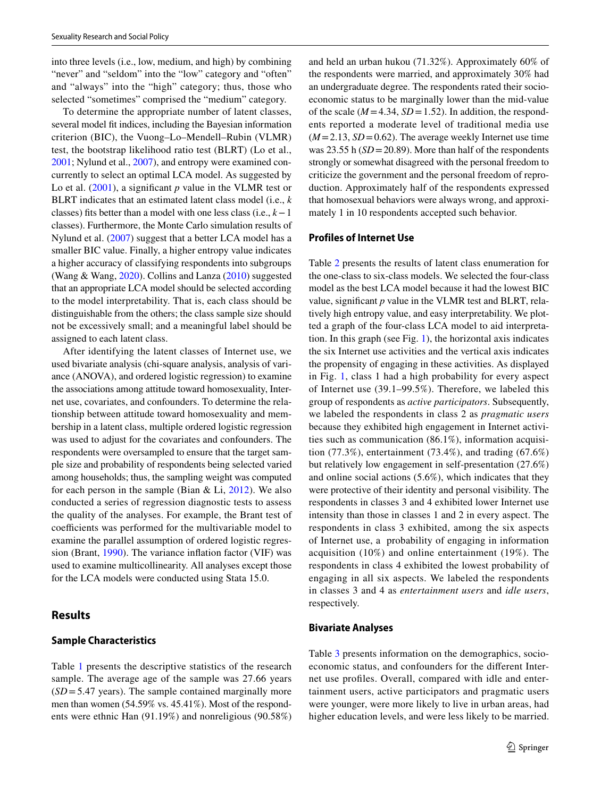into three levels (i.e., low, medium, and high) by combining "never" and "seldom" into the "low" category and "often" and "always" into the "high" category; thus, those who selected "sometimes" comprised the "medium" category.

To determine the appropriate number of latent classes, several model ft indices, including the Bayesian information criterion (BIC), the Vuong–Lo–Mendell–Rubin (VLMR) test, the bootstrap likelihood ratio test (BLRT) (Lo et al., [2001;](#page-12-31) Nylund et al., [2007\)](#page-12-32), and entropy were examined concurrently to select an optimal LCA model. As suggested by Lo et al. [\(2001\)](#page-12-31), a significant *p* value in the VLMR test or BLRT indicates that an estimated latent class model (i.e., *k* classes) fts better than a model with one less class (i.e., *k*−1 classes). Furthermore, the Monte Carlo simulation results of Nylund et al. [\(2007](#page-12-32)) suggest that a better LCA model has a smaller BIC value. Finally, a higher entropy value indicates a higher accuracy of classifying respondents into subgroups (Wang & Wang, [2020](#page-13-12)). Collins and Lanza [\(2010](#page-11-8)) suggested that an appropriate LCA model should be selected according to the model interpretability. That is, each class should be distinguishable from the others; the class sample size should not be excessively small; and a meaningful label should be assigned to each latent class.

After identifying the latent classes of Internet use, we used bivariate analysis (chi-square analysis, analysis of variance (ANOVA), and ordered logistic regression) to examine the associations among attitude toward homosexuality, Internet use, covariates, and confounders. To determine the relationship between attitude toward homosexuality and membership in a latent class, multiple ordered logistic regression was used to adjust for the covariates and confounders. The respondents were oversampled to ensure that the target sample size and probability of respondents being selected varied among households; thus, the sampling weight was computed for each person in the sample (Bian  $& Li, 2012$  $& Li, 2012$ ). We also conducted a series of regression diagnostic tests to assess the quality of the analyses. For example, the Brant test of coefficients was performed for the multivariable model to examine the parallel assumption of ordered logistic regression (Brant, [1990\)](#page-11-9). The variance infation factor (VIF) was used to examine multicollinearity. All analyses except those for the LCA models were conducted using Stata 15.0.

### **Results**

#### **Sample Characteristics**

Table [1](#page-5-0) presents the descriptive statistics of the research sample. The average age of the sample was 27.66 years  $(SD = 5.47 \text{ years})$ . The sample contained marginally more men than women (54.59% vs. 45.41%). Most of the respondents were ethnic Han (91.19%) and nonreligious (90.58%) and held an urban hukou (71.32%). Approximately 60% of the respondents were married, and approximately 30% had an undergraduate degree. The respondents rated their socioeconomic status to be marginally lower than the mid-value of the scale ( $M = 4.34$ ,  $SD = 1.52$ ). In addition, the respondents reported a moderate level of traditional media use  $(M=2.13, SD=0.62)$ . The average weekly Internet use time was 23.55 h (*SD* = 20.89). More than half of the respondents strongly or somewhat disagreed with the personal freedom to criticize the government and the personal freedom of reproduction. Approximately half of the respondents expressed that homosexual behaviors were always wrong, and approximately 1 in 10 respondents accepted such behavior.

#### **Profiles of Internet Use**

Table [2](#page-6-0) presents the results of latent class enumeration for the one-class to six-class models. We selected the four-class model as the best LCA model because it had the lowest BIC value, signifcant *p* value in the VLMR test and BLRT, relatively high entropy value, and easy interpretability. We plotted a graph of the four-class LCA model to aid interpretation. In this graph (see Fig. [1\)](#page-6-1), the horizontal axis indicates the six Internet use activities and the vertical axis indicates the propensity of engaging in these activities. As displayed in Fig. [1](#page-6-1), class 1 had a high probability for every aspect of Internet use (39.1–99.5%). Therefore, we labeled this group of respondents as *active participators*. Subsequently, we labeled the respondents in class 2 as *pragmatic users* because they exhibited high engagement in Internet activities such as communication (86.1%), information acquisition (77.3%), entertainment (73.4%), and trading (67.6%) but relatively low engagement in self-presentation (27.6%) and online social actions (5.6%), which indicates that they were protective of their identity and personal visibility. The respondents in classes 3 and 4 exhibited lower Internet use intensity than those in classes 1 and 2 in every aspect. The respondents in class 3 exhibited, among the six aspects of Internet use, a probability of engaging in information acquisition (10%) and online entertainment (19%). The respondents in class 4 exhibited the lowest probability of engaging in all six aspects. We labeled the respondents in classes 3 and 4 as *entertainment users* and *idle users*, respectively.

#### **Bivariate Analyses**

Table [3](#page-7-0) presents information on the demographics, socioeconomic status, and confounders for the diferent Internet use profles. Overall, compared with idle and entertainment users, active participators and pragmatic users were younger, were more likely to live in urban areas, had higher education levels, and were less likely to be married.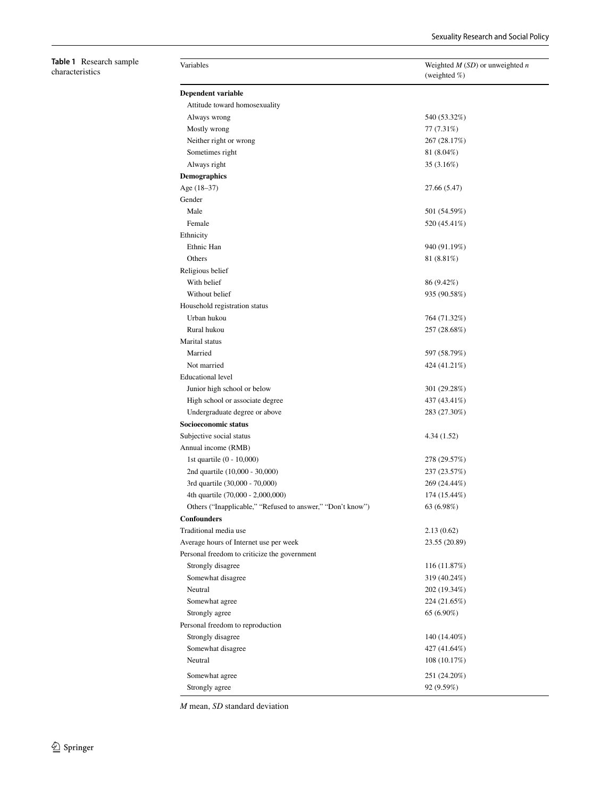<span id="page-5-0"></span>**Table 1** Research sample characteristics

| Variables                                                  | Weighted $M(SD)$ or unweighted $n$<br>(weighted %) |
|------------------------------------------------------------|----------------------------------------------------|
| Dependent variable                                         |                                                    |
| Attitude toward homosexuality                              |                                                    |
| Always wrong                                               | 540 (53.32%)                                       |
| Mostly wrong                                               | 77 (7.31%)                                         |
| Neither right or wrong                                     | 267 (28.17%)                                       |
| Sometimes right                                            | 81 (8.04%)                                         |
| Always right                                               | 35 (3.16%)                                         |
| Demographics                                               |                                                    |
| Age (18-37)                                                | 27.66 (5.47)                                       |
| Gender                                                     |                                                    |
| Male                                                       | 501 (54.59%)                                       |
| Female                                                     | 520 (45.41%)                                       |
| Ethnicity                                                  |                                                    |
| Ethnic Han                                                 | 940 (91.19%)                                       |
| Others                                                     | 81 (8.81%)                                         |
| Religious belief                                           |                                                    |
| With belief                                                | 86 (9.42%)                                         |
| Without belief                                             | 935 (90.58%)                                       |
|                                                            |                                                    |
| Household registration status<br>Urban hukou               |                                                    |
| Rural hukou                                                | 764 (71.32%)                                       |
|                                                            | 257 (28.68%)                                       |
| Marital status                                             |                                                    |
| Married                                                    | 597 (58.79%)                                       |
| Not married                                                | 424 (41.21%)                                       |
| <b>Educational level</b>                                   |                                                    |
| Junior high school or below                                | 301 (29.28%)                                       |
| High school or associate degree                            | 437 (43.41%)                                       |
| Undergraduate degree or above                              | 283 (27.30%)                                       |
| Socioeconomic status                                       |                                                    |
| Subjective social status                                   | 4.34(1.52)                                         |
| Annual income (RMB)                                        |                                                    |
| 1st quartile (0 - 10,000)                                  | 278 (29.57%)                                       |
| 2nd quartile (10,000 - 30,000)                             | 237 (23.57%)                                       |
| 3rd quartile (30,000 - 70,000)                             | 269 (24.44%)                                       |
| 4th quartile (70,000 - 2,000,000)                          | 174 (15.44%)                                       |
| Others ("Inapplicable," "Refused to answer," "Don't know") | 63 (6.98%)                                         |
| <b>Confounders</b>                                         |                                                    |
| Traditional media use                                      | 2.13(0.62)                                         |
| Average hours of Internet use per week                     | 23.55 (20.89)                                      |
| Personal freedom to criticize the government               |                                                    |
| Strongly disagree                                          | 116 (11.87%)                                       |
| Somewhat disagree                                          | 319 (40.24%)                                       |
| Neutral                                                    | 202 (19.34%)                                       |
| Somewhat agree                                             | 224 (21.65%)                                       |
| Strongly agree                                             | 65 (6.90%)                                         |
| Personal freedom to reproduction                           |                                                    |
| Strongly disagree                                          | 140 (14.40%)                                       |
| Somewhat disagree                                          | 427 (41.64%)                                       |
| Neutral                                                    | 108 (10.17%)                                       |
|                                                            |                                                    |
| Somewhat agree                                             | 251 (24.20%)                                       |
| Strongly agree                                             | 92 (9.59%)                                         |

*M* mean, *SD* standard deviation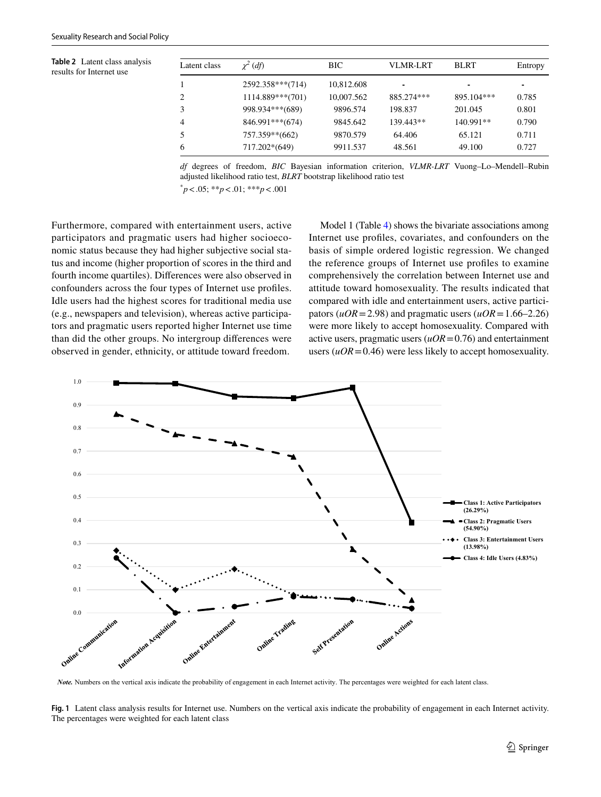<span id="page-6-0"></span>**Table 2** Latent class analysis results for Internet use

| Latent class | $\chi^2$ (df)      | <b>BIC</b> | VLMR-LRT   | <b>BLRT</b> | Entropy |
|--------------|--------------------|------------|------------|-------------|---------|
|              | 2592.358***(714)   | 10,812.608 |            |             | ٠       |
| 2.           | $1114.889***(701)$ | 10,007.562 | 885.274*** | 895.104***  | 0.785   |
| 3            | 998.934***(689)    | 9896.574   | 198.837    | 201.045     | 0.801   |
| 4            | 846.991***(674)    | 9845.642   | 139.443**  | 140.991**   | 0.790   |
| 5            | 757.359**(662)     | 9870.579   | 64.406     | 65.121      | 0.711   |
| 6            | 717.202*(649)      | 9911.537   | 48.561     | 49.100      | 0.727   |

*df* degrees of freedom, *BIC* Bayesian information criterion, *VLMR-LRT* Vuong–Lo–Mendell–Rubin adjusted likelihood ratio test, *BLRT* bootstrap likelihood ratio test

\* *p*<.05; \*\**p*<.01; \*\*\**p*<.001

Furthermore, compared with entertainment users, active participators and pragmatic users had higher socioeconomic status because they had higher subjective social status and income (higher proportion of scores in the third and fourth income quartiles). Diferences were also observed in confounders across the four types of Internet use profles. Idle users had the highest scores for traditional media use (e.g., newspapers and television), whereas active participators and pragmatic users reported higher Internet use time than did the other groups. No intergroup diferences were observed in gender, ethnicity, or attitude toward freedom.

Model 1 (Table [4\)](#page-8-0) shows the bivariate associations among Internet use profles, covariates, and confounders on the basis of simple ordered logistic regression. We changed the reference groups of Internet use profles to examine comprehensively the correlation between Internet use and attitude toward homosexuality. The results indicated that compared with idle and entertainment users, active participators ( $uOR = 2.98$ ) and pragmatic users ( $uOR = 1.66-2.26$ ) were more likely to accept homosexuality. Compared with active users, pragmatic users (*uOR*=0.76) and entertainment users  $(uOR=0.46)$  were less likely to accept homosexuality.



*Note.* Numbers on the vertical axis indicate the probability of engagement in each Internet activity. The percentages were weighted for each latent class.

<span id="page-6-1"></span>**Fig. 1** Latent class analysis results for Internet use. Numbers on the vertical axis indicate the probability of engagement in each Internet activity. The percentages were weighted for each latent class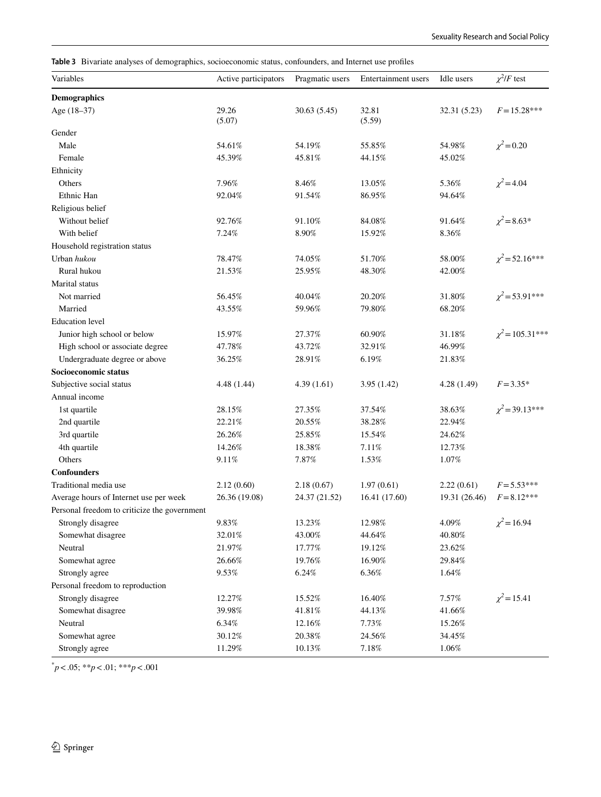<span id="page-7-0"></span>**Table 3** Bivariate analyses of demographics, socioeconomic status, confounders, and Internet use profles

| Variables                                    | Active participators | Pragmatic users | Entertainment users | Idle users    | $\chi^2$ /F test     |  |
|----------------------------------------------|----------------------|-----------------|---------------------|---------------|----------------------|--|
| <b>Demographics</b>                          |                      |                 |                     |               |                      |  |
| Age (18-37)                                  | 29.26<br>(5.07)      | 30.63(5.45)     | 32.81<br>(5.59)     | 32.31 (5.23)  | $F = 15.28***$       |  |
| Gender                                       |                      |                 |                     |               |                      |  |
| Male                                         | 54.61%               | 54.19%          | 55.85%              | 54.98%        | $\chi^2$ = 0.20      |  |
| Female                                       | 45.39%               | 45.81%          | 44.15%              | 45.02%        |                      |  |
| Ethnicity                                    |                      |                 |                     |               |                      |  |
| Others                                       | 7.96%                | 8.46%           | 13.05%              | 5.36%         | $\chi^2$ = 4.04      |  |
| Ethnic Han                                   | 92.04%               | 91.54%          | 86.95%              | 94.64%        |                      |  |
| Religious belief                             |                      |                 |                     |               |                      |  |
| Without belief                               | 92.76%               | 91.10%          | 84.08%              | 91.64%        | $\chi^2 = 8.63*$     |  |
| With belief                                  | 7.24%                | 8.90%           | 15.92%              | 8.36%         |                      |  |
| Household registration status                |                      |                 |                     |               |                      |  |
| Urban hukou                                  | 78.47%               | 74.05%          | 51.70%              | 58.00%        | $\chi^2$ = 52.16***  |  |
| Rural hukou                                  | 21.53%               | 25.95%          | 48.30%              | 42.00%        |                      |  |
| Marital status                               |                      |                 |                     |               |                      |  |
| Not married                                  | 56.45%               | 40.04%          | 20.20%              | 31.80%        | $\chi^2$ = 53.91***  |  |
| Married                                      | 43.55%               | 59.96%          | 79.80%              | 68.20%        |                      |  |
| <b>Education</b> level                       |                      |                 |                     |               |                      |  |
| Junior high school or below                  | 15.97%               | 27.37%          | 60.90%              | 31.18%        | $\chi^2$ = 105.31*** |  |
| High school or associate degree              | 47.78%               | 43.72%          | 32.91%              | 46.99%        |                      |  |
| Undergraduate degree or above                | 36.25%               | 28.91%          | 6.19%               | 21.83%        |                      |  |
| Socioeconomic status                         |                      |                 |                     |               |                      |  |
| Subjective social status                     | 4.48 (1.44)          | 4.39(1.61)      | 3.95(1.42)          | 4.28 (1.49)   | $F = 3.35*$          |  |
| Annual income                                |                      |                 |                     |               |                      |  |
| 1st quartile                                 | 28.15%               | 27.35%          | 37.54%              | 38.63%        | $\chi^2$ = 39.13***  |  |
| 2nd quartile                                 | 22.21%               | 20.55%          | 38.28%              | 22.94%        |                      |  |
| 3rd quartile                                 | 26.26%               | 25.85%          | 15.54%              | 24.62%        |                      |  |
| 4th quartile                                 | 14.26%               | 18.38%          | 7.11%               | 12.73%        |                      |  |
| Others                                       | 9.11%                | 7.87%           | 1.53%               | 1.07%         |                      |  |
| <b>Confounders</b>                           |                      |                 |                     |               |                      |  |
| Traditional media use                        | 2.12(0.60)           | 2.18(0.67)      | 1.97(0.61)          | 2.22(0.61)    | $F = 5.53***$        |  |
| Average hours of Internet use per week       | 26.36 (19.08)        | 24.37 (21.52)   | 16.41 (17.60)       | 19.31 (26.46) | $F = 8.12***$        |  |
| Personal freedom to criticize the government |                      |                 |                     |               |                      |  |
| Strongly disagree                            | 9.83%                | 13.23%          | 12.98%              | 4.09%         | $\chi^2$ = 16.94     |  |
| Somewhat disagree                            | 32.01%               | 43.00%          | 44.64%              | 40.80%        |                      |  |
| Neutral                                      | $21.97\%$            | 17.77%          | 19.12%              | 23.62%        |                      |  |
| Somewhat agree                               | 26.66%               | 19.76%          | 16.90%              | 29.84%        |                      |  |
| Strongly agree                               | 9.53%                | 6.24%           | 6.36%               | 1.64%         |                      |  |
| Personal freedom to reproduction             |                      |                 |                     |               |                      |  |
| Strongly disagree                            | 12.27%               | 15.52%          | 16.40%              | $7.57\%$      | $\chi^2$ = 15.41     |  |
| Somewhat disagree                            | 39.98%               | 41.81%          | 44.13%              | 41.66%        |                      |  |
| Neutral                                      | 6.34%                | 12.16%          | $7.73\%$            | 15.26%        |                      |  |
| Somewhat agree                               | 30.12%               | 20.38%          | 24.56%              | 34.45%        |                      |  |
| Strongly agree                               | 11.29%               | 10.13%          | $7.18\%$            | $1.06\%$      |                      |  |

\* *p*<.05; \*\**p*<.01; \*\*\**p*<.001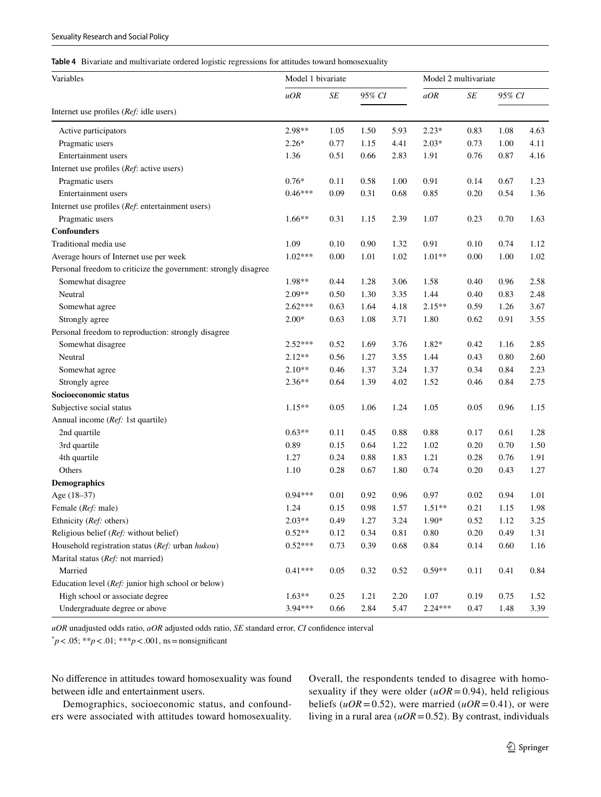<span id="page-8-0"></span>**Table 4** Bivariate and multivariate ordered logistic regressions for attitudes toward homosexuality

| Variables                                                       | Model 1 bivariate |           |        |          | Model 2 multivariate |           |        |      |
|-----------------------------------------------------------------|-------------------|-----------|--------|----------|----------------------|-----------|--------|------|
|                                                                 | uOR               | $\cal SE$ | 95% CI |          | aOR                  | $\cal SE$ | 95% CI |      |
| Internet use profiles (Ref: idle users)                         |                   |           |        |          |                      |           |        |      |
| Active participators                                            | 2.98**            | 1.05      | 1.50   | 5.93     | $2.23*$              | 0.83      | 1.08   | 4.63 |
| Pragmatic users                                                 | $2.26*$           | 0.77      | 1.15   | 4.41     | $2.03*$              | 0.73      | 1.00   | 4.11 |
| Entertainment users                                             | 1.36              | 0.51      | 0.66   | 2.83     | 1.91                 | 0.76      | 0.87   | 4.16 |
| Internet use profiles (Ref: active users)                       |                   |           |        |          |                      |           |        |      |
| Pragmatic users                                                 | $0.76*$           | 0.11      | 0.58   | 1.00     | 0.91                 | 0.14      | 0.67   | 1.23 |
| Entertainment users                                             | $0.46***$         | 0.09      | 0.31   | 0.68     | 0.85                 | 0.20      | 0.54   | 1.36 |
| Internet use profiles (Ref: entertainment users)                |                   |           |        |          |                      |           |        |      |
| Pragmatic users                                                 | $1.66**$          | 0.31      | 1.15   | 2.39     | 1.07                 | 0.23      | 0.70   | 1.63 |
| <b>Confounders</b>                                              |                   |           |        |          |                      |           |        |      |
| Traditional media use                                           | 1.09              | 0.10      | 0.90   | 1.32     | 0.91                 | 0.10      | 0.74   | 1.12 |
| Average hours of Internet use per week                          | $1.02***$         | $0.00\,$  | 1.01   | 1.02     | $1.01**$             | 0.00      | 1.00   | 1.02 |
| Personal freedom to criticize the government: strongly disagree |                   |           |        |          |                      |           |        |      |
| Somewhat disagree                                               | 1.98**            | 0.44      | 1.28   | 3.06     | 1.58                 | 0.40      | 0.96   | 2.58 |
| Neutral                                                         | 2.09**            | 0.50      | 1.30   | 3.35     | 1.44                 | 0.40      | 0.83   | 2.48 |
| Somewhat agree                                                  | $2.62***$         | 0.63      | 1.64   | 4.18     | $2.15**$             | 0.59      | 1.26   | 3.67 |
| Strongly agree                                                  | $2.00*$           | 0.63      | 1.08   | 3.71     | 1.80                 | 0.62      | 0.91   | 3.55 |
| Personal freedom to reproduction: strongly disagree             |                   |           |        |          |                      |           |        |      |
| Somewhat disagree                                               | $2.52***$         | 0.52      | 1.69   | 3.76     | 1.82*                | 0.42      | 1.16   | 2.85 |
| Neutral                                                         | $2.12**$          | 0.56      | 1.27   | 3.55     | 1.44                 | 0.43      | 0.80   | 2.60 |
| Somewhat agree                                                  | $2.10**$          | 0.46      | 1.37   | 3.24     | 1.37                 | 0.34      | 0.84   | 2.23 |
| Strongly agree                                                  | $2.36**$          | 0.64      | 1.39   | 4.02     | 1.52                 | 0.46      | 0.84   | 2.75 |
| Socioeconomic status                                            |                   |           |        |          |                      |           |        |      |
| Subjective social status                                        | $1.15**$          | 0.05      | 1.06   | 1.24     | 1.05                 | 0.05      | 0.96   | 1.15 |
| Annual income (Ref: 1st quartile)                               |                   |           |        |          |                      |           |        |      |
| 2nd quartile                                                    | $0.63**$          | 0.11      | 0.45   | 0.88     | 0.88                 | 0.17      | 0.61   | 1.28 |
| 3rd quartile                                                    | 0.89              | 0.15      | 0.64   | 1.22     | 1.02                 | 0.20      | 0.70   | 1.50 |
| 4th quartile                                                    | 1.27              | 0.24      | 0.88   | 1.83     | 1.21                 | 0.28      | 0.76   | 1.91 |
| Others                                                          | 1.10              | 0.28      | 0.67   | 1.80     | 0.74                 | 0.20      | 0.43   | 1.27 |
| <b>Demographics</b>                                             |                   |           |        |          |                      |           |        |      |
| Age (18-37)                                                     | $0.94***$         | 0.01      | 0.92   | 0.96     | 0.97                 | 0.02      | 0.94   | 1.01 |
| Female (Ref: male)                                              | 1.24              | 0.15      | 0.98   | 1.57     | $1.51**$             | 0.21      | 1.15   | 1.98 |
| Ethnicity ( <i>Ref</i> : others)                                | $2.03**$          | 0.49      | 1.27   | 3.24     | $1.90*$              | 0.52      | 1.12   | 3.25 |
| Religious belief (Ref: without belief)                          | $0.52**$          | 0.12      | 0.34   | $0.81\,$ | $0.80\,$             | 0.20      | 0.49   | 1.31 |
| Household registration status (Ref: urban hukou)                | $0.52***$         | 0.73      | 0.39   | 0.68     | 0.84                 | 0.14      | 0.60   | 1.16 |
| Marital status (Ref: not married)                               |                   |           |        |          |                      |           |        |      |
| Married                                                         | $0.41***$         | 0.05      | 0.32   | 0.52     | $0.59**$             | 0.11      | 0.41   | 0.84 |
| Education level (Ref: junior high school or below)              |                   |           |        |          |                      |           |        |      |
| High school or associate degree                                 | $1.63**$          | 0.25      | 1.21   | 2.20     | 1.07                 | 0.19      | 0.75   | 1.52 |
| Undergraduate degree or above                                   | 3.94***           | 0.66      | 2.84   | 5.47     | $2.24***$            | 0.47      | 1.48   | 3.39 |

*uOR* unadjusted odds ratio, *aOR* adjusted odds ratio, *SE* standard error, *CI* confdence interval

\* *p*<.05; \*\**p*<.01; \*\*\**p*<.001, ns=nonsignifcant

No diference in attitudes toward homosexuality was found between idle and entertainment users.

Demographics, socioeconomic status, and confounders were associated with attitudes toward homosexuality.

Overall, the respondents tended to disagree with homosexuality if they were older  $(uOR=0.94)$ , held religious beliefs ( $uOR = 0.52$ ), were married ( $uOR = 0.41$ ), or were living in a rural area (*uOR*=0.52). By contrast, individuals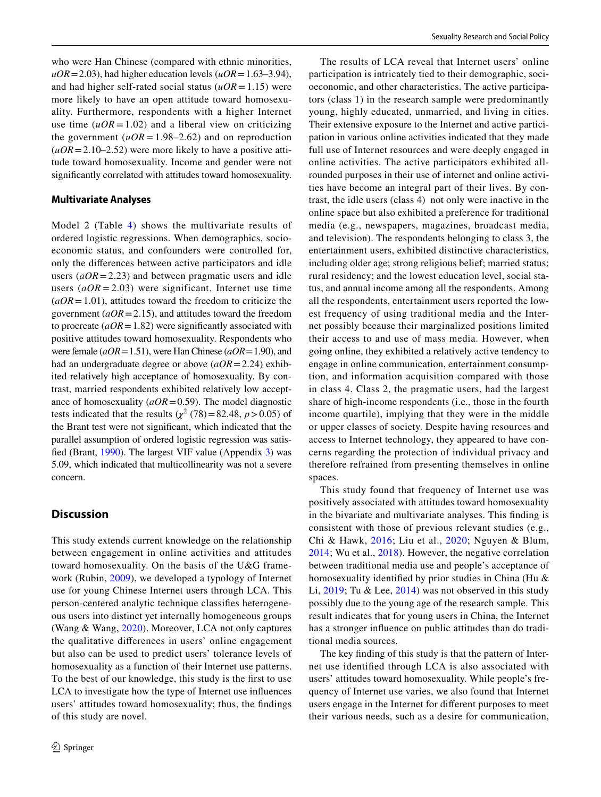who were Han Chinese (compared with ethnic minorities,  $uOR = 2.03$ ), had higher education levels ( $uOR = 1.63-3.94$ ), and had higher self-rated social status  $(uOR=1.15)$  were more likely to have an open attitude toward homosexuality. Furthermore, respondents with a higher Internet use time  $(uOR = 1.02)$  and a liberal view on criticizing the government  $(uOR = 1.98 - 2.62)$  and on reproduction  $(uOR = 2.10 - 2.52)$  were more likely to have a positive attitude toward homosexuality. Income and gender were not signifcantly correlated with attitudes toward homosexuality.

#### **Multivariate Analyses**

Model 2 (Table [4\)](#page-8-0) shows the multivariate results of ordered logistic regressions. When demographics, socioeconomic status, and confounders were controlled for, only the diferences between active participators and idle users  $(aOR = 2.23)$  and between pragmatic users and idle users  $(aOR = 2.03)$  were significant. Internet use time  $(aOR = 1.01)$ , attitudes toward the freedom to criticize the government (*aOR*=2.15), and attitudes toward the freedom to procreate  $(aOR = 1.82)$  were significantly associated with positive attitudes toward homosexuality. Respondents who were female (*aOR*=1.51), were Han Chinese (*aOR*=1.90), and had an undergraduate degree or above (*aOR*=2.24) exhibited relatively high acceptance of homosexuality. By contrast, married respondents exhibited relatively low acceptance of homosexuality (*aOR*=0.59). The model diagnostic tests indicated that the results  $(\chi^2 (78) = 82.48, p > 0.05)$  of the Brant test were not signifcant, which indicated that the parallel assumption of ordered logistic regression was satisfed (Brant, [1990](#page-11-9)). The largest VIF value (Appendix 3) was 5.09, which indicated that multicollinearity was not a severe concern.

# **Discussion**

This study extends current knowledge on the relationship between engagement in online activities and attitudes toward homosexuality. On the basis of the U&G framework (Rubin, [2009\)](#page-12-16), we developed a typology of Internet use for young Chinese Internet users through LCA. This person-centered analytic technique classifes heterogeneous users into distinct yet internally homogeneous groups (Wang & Wang, [2020](#page-13-12)). Moreover, LCA not only captures the qualitative diferences in users' online engagement but also can be used to predict users' tolerance levels of homosexuality as a function of their Internet use patterns. To the best of our knowledge, this study is the frst to use LCA to investigate how the type of Internet use infuences users' attitudes toward homosexuality; thus, the fndings of this study are novel.

The results of LCA reveal that Internet users' online participation is intricately tied to their demographic, socioeconomic, and other characteristics. The active participators (class 1) in the research sample were predominantly young, highly educated, unmarried, and living in cities. Their extensive exposure to the Internet and active participation in various online activities indicated that they made full use of Internet resources and were deeply engaged in online activities. The active participators exhibited allrounded purposes in their use of internet and online activities have become an integral part of their lives. By contrast, the idle users (class 4) not only were inactive in the online space but also exhibited a preference for traditional media (e.g., newspapers, magazines, broadcast media, and television). The respondents belonging to class 3, the entertainment users, exhibited distinctive characteristics, including older age; strong religious belief; married status; rural residency; and the lowest education level, social status, and annual income among all the respondents. Among all the respondents, entertainment users reported the lowest frequency of using traditional media and the Internet possibly because their marginalized positions limited their access to and use of mass media. However, when going online, they exhibited a relatively active tendency to engage in online communication, entertainment consumption, and information acquisition compared with those in class 4. Class 2, the pragmatic users, had the largest share of high-income respondents (i.e., those in the fourth income quartile), implying that they were in the middle or upper classes of society. Despite having resources and access to Internet technology, they appeared to have concerns regarding the protection of individual privacy and therefore refrained from presenting themselves in online spaces.

This study found that frequency of Internet use was positively associated with attitudes toward homosexuality in the bivariate and multivariate analyses. This fnding is consistent with those of previous relevant studies (e.g., Chi & Hawk, [2016;](#page-11-4) Liu et al., [2020](#page-12-10); Nguyen & Blum, [2014;](#page-12-11) Wu et al., [2018](#page-13-7)). However, the negative correlation between traditional media use and people's acceptance of homosexuality identifed by prior studies in China (Hu & Li, [2019](#page-12-2); Tu & Lee, [2014\)](#page-12-3) was not observed in this study possibly due to the young age of the research sample. This result indicates that for young users in China, the Internet has a stronger infuence on public attitudes than do traditional media sources.

The key fnding of this study is that the pattern of Internet use identifed through LCA is also associated with users' attitudes toward homosexuality. While people's frequency of Internet use varies, we also found that Internet users engage in the Internet for diferent purposes to meet their various needs, such as a desire for communication,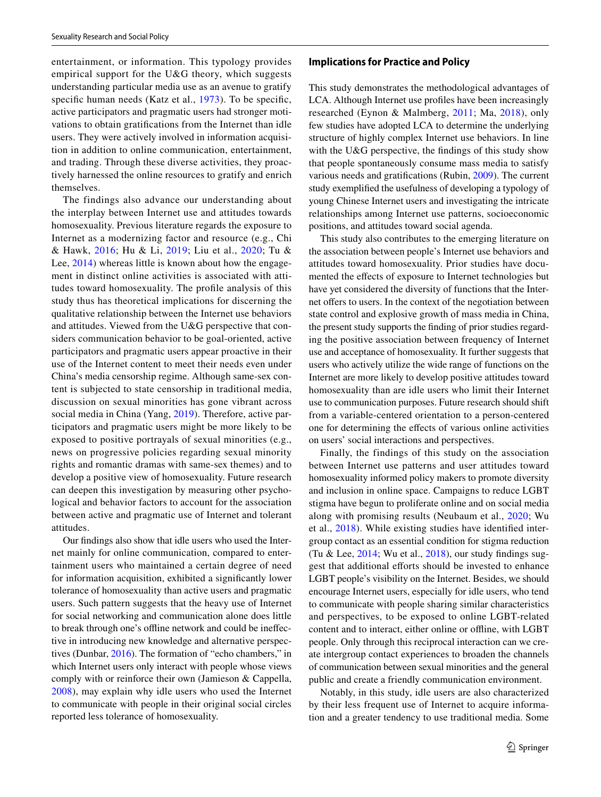entertainment, or information. This typology provides empirical support for the U&G theory, which suggests understanding particular media use as an avenue to gratify specific human needs (Katz et al., [1973](#page-12-18)). To be specific, active participators and pragmatic users had stronger motivations to obtain gratifcations from the Internet than idle users. They were actively involved in information acquisition in addition to online communication, entertainment, and trading. Through these diverse activities, they proactively harnessed the online resources to gratify and enrich themselves.

The findings also advance our understanding about the interplay between Internet use and attitudes towards homosexuality. Previous literature regards the exposure to Internet as a modernizing factor and resource (e.g., Chi & Hawk, [2016;](#page-11-4) Hu & Li, [2019](#page-12-2); Liu et al., [2020;](#page-12-10) Tu & Lee, [2014](#page-12-3)) whereas little is known about how the engagement in distinct online activities is associated with attitudes toward homosexuality. The profle analysis of this study thus has theoretical implications for discerning the qualitative relationship between the Internet use behaviors and attitudes. Viewed from the U&G perspective that considers communication behavior to be goal-oriented, active participators and pragmatic users appear proactive in their use of the Internet content to meet their needs even under China's media censorship regime. Although same-sex content is subjected to state censorship in traditional media, discussion on sexual minorities has gone vibrant across social media in China (Yang, [2019\)](#page-13-8). Therefore, active participators and pragmatic users might be more likely to be exposed to positive portrayals of sexual minorities (e.g., news on progressive policies regarding sexual minority rights and romantic dramas with same-sex themes) and to develop a positive view of homosexuality. Future research can deepen this investigation by measuring other psychological and behavior factors to account for the association between active and pragmatic use of Internet and tolerant attitudes.

Our fndings also show that idle users who used the Internet mainly for online communication, compared to entertainment users who maintained a certain degree of need for information acquisition, exhibited a signifcantly lower tolerance of homosexuality than active users and pragmatic users. Such pattern suggests that the heavy use of Internet for social networking and communication alone does little to break through one's ofine network and could be inefective in introducing new knowledge and alternative perspectives (Dunbar, [2016](#page-12-33)). The formation of "echo chambers," in which Internet users only interact with people whose views comply with or reinforce their own (Jamieson & Cappella, [2008\)](#page-12-34), may explain why idle users who used the Internet to communicate with people in their original social circles reported less tolerance of homosexuality.

#### **Implications for Practice and Policy**

This study demonstrates the methodological advantages of LCA. Although Internet use profles have been increasingly researched (Eynon & Malmberg, [2011;](#page-12-25) Ma, [2018](#page-12-24)), only few studies have adopted LCA to determine the underlying structure of highly complex Internet use behaviors. In line with the U&G perspective, the findings of this study show that people spontaneously consume mass media to satisfy various needs and gratifcations (Rubin, [2009](#page-12-16)). The current study exemplifed the usefulness of developing a typology of young Chinese Internet users and investigating the intricate relationships among Internet use patterns, socioeconomic positions, and attitudes toward social agenda.

This study also contributes to the emerging literature on the association between people's Internet use behaviors and attitudes toward homosexuality. Prior studies have documented the efects of exposure to Internet technologies but have yet considered the diversity of functions that the Internet offers to users. In the context of the negotiation between state control and explosive growth of mass media in China, the present study supports the fnding of prior studies regarding the positive association between frequency of Internet use and acceptance of homosexuality. It further suggests that users who actively utilize the wide range of functions on the Internet are more likely to develop positive attitudes toward homosexuality than are idle users who limit their Internet use to communication purposes. Future research should shift from a variable-centered orientation to a person-centered one for determining the efects of various online activities on users' social interactions and perspectives.

Finally, the findings of this study on the association between Internet use patterns and user attitudes toward homosexuality informed policy makers to promote diversity and inclusion in online space. Campaigns to reduce LGBT stigma have begun to proliferate online and on social media along with promising results (Neubaum et al., [2020;](#page-12-35) Wu et al., [2018](#page-13-7)). While existing studies have identifed intergroup contact as an essential condition for stigma reduction (Tu & Lee, [2014](#page-12-3); Wu et al., [2018](#page-13-7)), our study fndings suggest that additional efforts should be invested to enhance LGBT people's visibility on the Internet. Besides, we should encourage Internet users, especially for idle users, who tend to communicate with people sharing similar characteristics and perspectives, to be exposed to online LGBT-related content and to interact, either online or offline, with LGBT people. Only through this reciprocal interaction can we create intergroup contact experiences to broaden the channels of communication between sexual minorities and the general public and create a friendly communication environment.

Notably, in this study, idle users are also characterized by their less frequent use of Internet to acquire information and a greater tendency to use traditional media. Some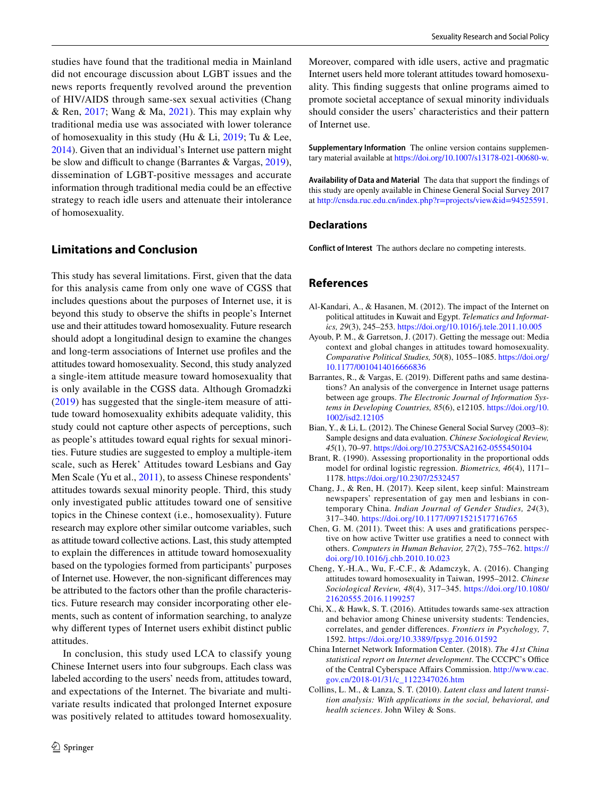studies have found that the traditional media in Mainland did not encourage discussion about LGBT issues and the news reports frequently revolved around the prevention of HIV/AIDS through same-sex sexual activities (Chang & Ren, [2017](#page-11-10); Wang & Ma,  $2021$ ). This may explain why traditional media use was associated with lower tolerance of homosexuality in this study (Hu & Li,  $2019$ ; Tu & Lee, [2014](#page-12-3)). Given that an individual's Internet use pattern might be slow and difficult to change (Barrantes  $& \text{Vargas}, 2019$  $& \text{Vargas}, 2019$ ), dissemination of LGBT-positive messages and accurate information through traditional media could be an efective strategy to reach idle users and attenuate their intolerance of homosexuality.

# **Limitations and Conclusion**

This study has several limitations. First, given that the data for this analysis came from only one wave of CGSS that includes questions about the purposes of Internet use, it is beyond this study to observe the shifts in people's Internet use and their attitudes toward homosexuality. Future research should adopt a longitudinal design to examine the changes and long-term associations of Internet use profles and the attitudes toward homosexuality. Second, this study analyzed a single-item attitude measure toward homosexuality that is only available in the CGSS data. Although Gromadzki [\(2019\)](#page-12-28) has suggested that the single-item measure of attitude toward homosexuality exhibits adequate validity, this study could not capture other aspects of perceptions, such as people's attitudes toward equal rights for sexual minorities. Future studies are suggested to employ a multiple-item scale, such as Herek' Attitudes toward Lesbians and Gay Men Scale (Yu et al., [2011\)](#page-13-14), to assess Chinese respondents' attitudes towards sexual minority people. Third, this study only investigated public attitudes toward one of sensitive topics in the Chinese context (i.e., homosexuality). Future research may explore other similar outcome variables, such as attitude toward collective actions. Last, this study attempted to explain the diferences in attitude toward homosexuality based on the typologies formed from participants' purposes of Internet use. However, the non-signifcant diferences may be attributed to the factors other than the profle characteristics. Future research may consider incorporating other elements, such as content of information searching, to analyze why diferent types of Internet users exhibit distinct public attitudes.

In conclusion, this study used LCA to classify young Chinese Internet users into four subgroups. Each class was labeled according to the users' needs from, attitudes toward, and expectations of the Internet. The bivariate and multivariate results indicated that prolonged Internet exposure was positively related to attitudes toward homosexuality. Moreover, compared with idle users, active and pragmatic Internet users held more tolerant attitudes toward homosexuality. This fnding suggests that online programs aimed to promote societal acceptance of sexual minority individuals should consider the users' characteristics and their pattern of Internet use.

**Supplementary Information** The online version contains supplementary material available at<https://doi.org/10.1007/s13178-021-00680-w>.

**Availability of Data and Material** The data that support the fndings of this study are openly available in Chinese General Social Survey 2017 at<http://cnsda.ruc.edu.cn/index.php?r=projects/view&id=94525591>.

# **Declarations**

**Conflict of Interest** The authors declare no competing interests.

# **References**

- <span id="page-11-6"></span>Al-Kandari, A., & Hasanen, M. (2012). The impact of the Internet on political attitudes in Kuwait and Egypt. *Telematics and Informatics, 29*(3), 245–253.<https://doi.org/10.1016/j.tele.2011.10.005>
- <span id="page-11-3"></span>Ayoub, P. M., & Garretson, J. (2017). Getting the message out: Media context and global changes in attitudes toward homosexuality. *Comparative Political Studies, 50*(8), 1055–1085. [https://doi.org/](https://doi.org/10.1177/0010414016666836) [10.1177/0010414016666836](https://doi.org/10.1177/0010414016666836)
- <span id="page-11-2"></span>Barrantes, R., & Vargas, E. (2019). Diferent paths and same destinations? An analysis of the convergence in Internet usage patterns between age groups. *The Electronic Journal of Information Systems in Developing Countries, 85*(6), e12105. [https://doi.org/10.](https://doi.org/10.1002/isd2.12105) [1002/isd2.12105](https://doi.org/10.1002/isd2.12105)
- <span id="page-11-7"></span>Bian, Y., & Li, L. (2012). The Chinese General Social Survey (2003–8): Sample designs and data evaluation. *Chinese Sociological Review, 45*(1), 70–97. <https://doi.org/10.2753/CSA2162-0555450104>
- <span id="page-11-9"></span>Brant, R. (1990). Assessing proportionality in the proportional odds model for ordinal logistic regression. *Biometrics, 46*(4), 1171– 1178. <https://doi.org/10.2307/2532457>
- <span id="page-11-10"></span>Chang, J., & Ren, H. (2017). Keep silent, keep sinful: Mainstream newspapers' representation of gay men and lesbians in contemporary China. *Indian Journal of Gender Studies, 24*(3), 317–340.<https://doi.org/10.1177/0971521517716765>
- <span id="page-11-5"></span>Chen, G. M. (2011). Tweet this: A uses and gratifcations perspective on how active Twitter use gratifes a need to connect with others. *Computers in Human Behavior, 27*(2), 755–762. [https://](https://doi.org/10.1016/j.chb.2010.10.023) [doi.org/10.1016/j.chb.2010.10.023](https://doi.org/10.1016/j.chb.2010.10.023)
- <span id="page-11-0"></span>Cheng, Y.-H.A., Wu, F.-C.F., & Adamczyk, A. (2016). Changing attitudes toward homosexuality in Taiwan, 1995–2012. *Chinese Sociological Review, 48*(4), 317–345. [https://doi.org/10.1080/](https://doi.org/10.1080/21620555.2016.1199257) [21620555.2016.1199257](https://doi.org/10.1080/21620555.2016.1199257)
- <span id="page-11-4"></span>Chi, X., & Hawk, S. T. (2016). Attitudes towards same-sex attraction and behavior among Chinese university students: Tendencies, correlates, and gender diferences. *Frontiers in Psychology, 7*, 1592.<https://doi.org/10.3389/fpsyg.2016.01592>
- <span id="page-11-1"></span>China Internet Network Information Center. (2018). *The 41st China statistical report on Internet development*. The CCCPC's Office of the Central Cyberspace Afairs Commission. [http://www.cac.](http://www.cac.gov.cn/2018-01/31/c_1122347026.htm) [gov.cn/2018-01/31/c\\_1122347026.htm](http://www.cac.gov.cn/2018-01/31/c_1122347026.htm)
- <span id="page-11-8"></span>Collins, L. M., & Lanza, S. T. (2010). *Latent class and latent transition analysis: With applications in the social, behavioral, and health sciences*. John Wiley & Sons.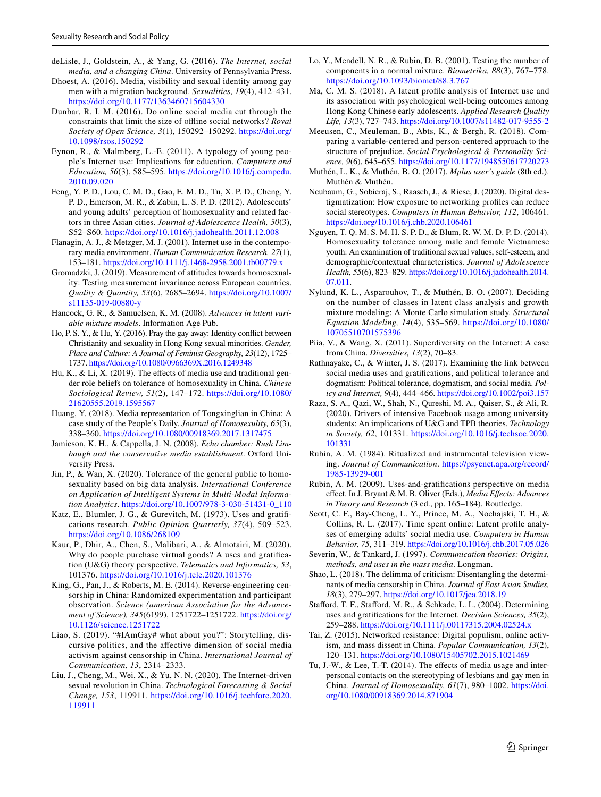- <span id="page-12-12"></span>deLisle, J., Goldstein, A., & Yang, G. (2016). *The Internet, social media, and a changing China*. University of Pennsylvania Press.
- <span id="page-12-8"></span>Dhoest, A. (2016). Media, visibility and sexual identity among gay men with a migration background. *Sexualities, 19*(4), 412–431. <https://doi.org/10.1177/1363460715604330>
- <span id="page-12-33"></span>Dunbar, R. I. M. (2016). Do online social media cut through the constraints that limit the size of ofine social networks? *Royal Society of Open Science, 3*(1), 150292–150292. [https://doi.org/](https://doi.org/10.1098/rsos.150292) [10.1098/rsos.150292](https://doi.org/10.1098/rsos.150292)
- <span id="page-12-25"></span>Eynon, R., & Malmberg, L.-E. (2011). A typology of young people's Internet use: Implications for education. *Computers and Education, 56*(3), 585–595. [https://doi.org/10.1016/j.compedu.](https://doi.org/10.1016/j.compedu.2010.09.020) [2010.09.020](https://doi.org/10.1016/j.compedu.2010.09.020)
- <span id="page-12-0"></span>Feng, Y. P. D., Lou, C. M. D., Gao, E. M. D., Tu, X. P. D., Cheng, Y. P. D., Emerson, M. R., & Zabin, L. S. P. D. (2012). Adolescents' and young adults' perception of homosexuality and related factors in three Asian cities. *Journal of Adolescence Health, 50*(3), S52–S60.<https://doi.org/10.1016/j.jadohealth.2011.12.008>
- <span id="page-12-13"></span>Flanagin, A. J., & Metzger, M. J. (2001). Internet use in the contemporary media environment. *Human Communication Research, 27*(1), 153–181.<https://doi.org/10.1111/j.1468-2958.2001.tb00779.x>
- <span id="page-12-28"></span>Gromadzki, J. (2019). Measurement of attitudes towards homosexuality: Testing measurement invariance across European countries. *Quality & Quantity, 53*(6), 2685–2694. [https://doi.org/10.1007/](https://doi.org/10.1007/s11135-019-00880-y) [s11135-019-00880-y](https://doi.org/10.1007/s11135-019-00880-y)
- <span id="page-12-30"></span>Hancock, G. R., & Samuelsen, K. M. (2008). *Advances in latent variable mixture models*. Information Age Pub.
- <span id="page-12-1"></span>Ho, P. S. Y., & Hu, Y. (2016). Pray the gay away: Identity confict between Christianity and sexuality in Hong Kong sexual minorities. *Gender, Place and Culture: A Journal of Feminist Geography, 23*(12), 1725– 1737.<https://doi.org/10.1080/0966369X.2016.1249348>
- <span id="page-12-2"></span>Hu, K., & Li, X. (2019). The effects of media use and traditional gender role beliefs on tolerance of homosexuality in China. *Chinese Sociological Review, 51*(2), 147–172. [https://doi.org/10.1080/](https://doi.org/10.1080/21620555.2019.1595567) [21620555.2019.1595567](https://doi.org/10.1080/21620555.2019.1595567)
- <span id="page-12-7"></span>Huang, Y. (2018). Media representation of Tongxinglian in China: A case study of the People's Daily. *Journal of Homosexulity, 65*(3), 338–360.<https://doi.org/10.1080/00918369.2017.1317475>
- <span id="page-12-34"></span>Jamieson, K. H., & Cappella, J. N. (2008). *Echo chamber: Rush Limbaugh and the conservative media establishment*. Oxford University Press.
- <span id="page-12-4"></span>Jin, P., & Wan, X. (2020). Tolerance of the general public to homosexuality based on big data analysis. *International Conference on Application of Intelligent Systems in Multi-Modal Information Analytics*. [https://doi.org/10.1007/978-3-030-51431-0\\_110](https://doi.org/10.1007/978-3-030-51431-0_110)
- <span id="page-12-18"></span>Katz, E., Blumler, J. G., & Gurevitch, M. (1973). Uses and gratifcations research. *Public Opinion Quarterly, 37*(4), 509–523. <https://doi.org/10.1086/268109>
- <span id="page-12-21"></span>Kaur, P., Dhir, A., Chen, S., Malibari, A., & Almotairi, M. (2020). Why do people purchase virtual goods? A uses and gratifcation (U&G) theory perspective. *Telematics and Informatics, 53*, 101376. <https://doi.org/10.1016/j.tele.2020.101376>
- <span id="page-12-5"></span>King, G., Pan, J., & Roberts, M. E. (2014). Reverse-engineering censorship in China: Randomized experimentation and participant observation. *Science (american Association for the Advancement of Science), 345*(6199), 1251722–1251722. [https://doi.org/](https://doi.org/10.1126/science.1251722) [10.1126/science.1251722](https://doi.org/10.1126/science.1251722)
- <span id="page-12-9"></span>Liao, S. (2019). "#IAmGay# what about you?": Storytelling, discursive politics, and the afective dimension of social media activism against censorship in China. *International Journal of Communication, 13*, 2314–2333.
- <span id="page-12-10"></span>Liu, J., Cheng, M., Wei, X., & Yu, N. N. (2020). The Internet-driven sexual revolution in China. *Technological Forecasting & Social Change, 153*, 119911. [https://doi.org/10.1016/j.techfore.2020.](https://doi.org/10.1016/j.techfore.2020.119911) [119911](https://doi.org/10.1016/j.techfore.2020.119911)
- <span id="page-12-31"></span>Lo, Y., Mendell, N. R., & Rubin, D. B. (2001). Testing the number of components in a normal mixture. *Biometrika, 88*(3), 767–778. <https://doi.org/10.1093/biomet/88.3.767>
- <span id="page-12-24"></span>Ma, C. M. S. (2018). A latent profle analysis of Internet use and its association with psychological well-being outcomes among Hong Kong Chinese early adolescents. *Applied Research Quality Life, 13*(3), 727–743.<https://doi.org/10.1007/s11482-017-9555-2>
- <span id="page-12-27"></span>Meeusen, C., Meuleman, B., Abts, K., & Bergh, R. (2018). Comparing a variable-centered and person-centered approach to the structure of prejudice. *Social Psychological & Personality Science, 9*(6), 645–655.<https://doi.org/10.1177/1948550617720273>
- <span id="page-12-29"></span>Muthén, L. K., & Muthén, B. O. (2017). *Mplus user's guide* (8th ed.). Muthén & Muthén.
- <span id="page-12-35"></span>Neubaum, G., Sobieraj, S., Raasch, J., & Riese, J. (2020). Digital destigmatization: How exposure to networking profles can reduce social stereotypes. *Computers in Human Behavior, 112*, 106461. <https://doi.org/10.1016/j.chb.2020.106461>
- <span id="page-12-11"></span>Nguyen, T. Q. M. S. M. H. S. P. D., & Blum, R. W. M. D. P. D. (2014). Homosexuality tolerance among male and female Vietnamese youth: An examination of traditional sexual values, self-esteem, and demographic/contextual characteristics. *Journal of Adolescence Health, 55*(6), 823–829. [https://doi.org/10.1016/j.jadohealth.2014.](https://doi.org/10.1016/j.jadohealth.2014.07.011) [07.011.](https://doi.org/10.1016/j.jadohealth.2014.07.011)
- <span id="page-12-32"></span>Nylund, K. L., Asparouhov, T., & Muthén, B. O. (2007). Deciding on the number of classes in latent class analysis and growth mixture modeling: A Monte Carlo simulation study. *Structural Equation Modeling, 14*(4), 535–569. [https://doi.org/10.1080/](https://doi.org/10.1080/10705510701575396) [10705510701575396](https://doi.org/10.1080/10705510701575396)
- <span id="page-12-14"></span>Piia, V., & Wang, X. (2011). Superdiversity on the Internet: A case from China. *Diversities, 13*(2), 70–83.
- <span id="page-12-23"></span>Rathnayake, C., & Winter, J. S. (2017). Examining the link between social media uses and gratifcations, and political tolerance and dogmatism: Political tolerance, dogmatism, and social media. *Policy and Internet, 9*(4), 444–466.<https://doi.org/10.1002/poi3.157>
- <span id="page-12-22"></span>Raza, S. A., Qazi, W., Shah, N., Qureshi, M. A., Qaiser, S., & Ali, R. (2020). Drivers of intensive Facebook usage among university students: An implications of U&G and TPB theories. *Technology in Society, 62*, 101331. [https://doi.org/10.1016/j.techsoc.2020.](https://doi.org/10.1016/j.techsoc.2020.101331) [101331](https://doi.org/10.1016/j.techsoc.2020.101331)
- <span id="page-12-19"></span>Rubin, A. M. (1984). Ritualized and instrumental television viewing. *Journal of Communication*. [https://psycnet.apa.org/record/](https://psycnet.apa.org/record/1985-13929-001) [1985-13929-001](https://psycnet.apa.org/record/1985-13929-001)
- <span id="page-12-16"></span>Rubin, A. M. (2009). Uses-and-gratifcations perspective on media efect. In J. Bryant & M. B. Oliver (Eds.), *Media Efects: Advances in Theory and Research* (3 ed., pp. 165–184). Routledge.
- <span id="page-12-26"></span>Scott, C. F., Bay-Cheng, L. Y., Prince, M. A., Nochajski, T. H., & Collins, R. L. (2017). Time spent online: Latent profle analyses of emerging adults' social media use. *Computers in Human Behavior, 75*, 311–319.<https://doi.org/10.1016/j.chb.2017.05.026>
- <span id="page-12-17"></span>Severin, W., & Tankard, J. (1997). *Communication theories: Origins, methods, and uses in the mass media*. Longman.
- <span id="page-12-6"></span>Shao, L. (2018). The delimma of criticism: Disentangling the determinants of media censorship in China. *Journal of East Asian Studies, 18*(3), 279–297.<https://doi.org/10.1017/jea.2018.19>
- <span id="page-12-20"></span>Staford, T. F., Staford, M. R., & Schkade, L. L. (2004). Determining uses and gratifcations for the Internet. *Decision Sciences, 35*(2), 259–288.<https://doi.org/10.1111/j.00117315.2004.02524.x>
- <span id="page-12-15"></span>Tai, Z. (2015). Networked resistance: Digital populism, online activism, and mass dissent in China. *Popular Communication, 13*(2), 120–131.<https://doi.org/10.1080/15405702.2015.1021469>
- <span id="page-12-3"></span>Tu, J.-W., & Lee, T.-T. (2014). The effects of media usage and interpersonal contacts on the stereotyping of lesbians and gay men in China. *Journal of Homosexuality, 61*(7), 980–1002. [https://doi.](https://doi.org/10.1080/00918369.2014.871904) [org/10.1080/00918369.2014.871904](https://doi.org/10.1080/00918369.2014.871904)